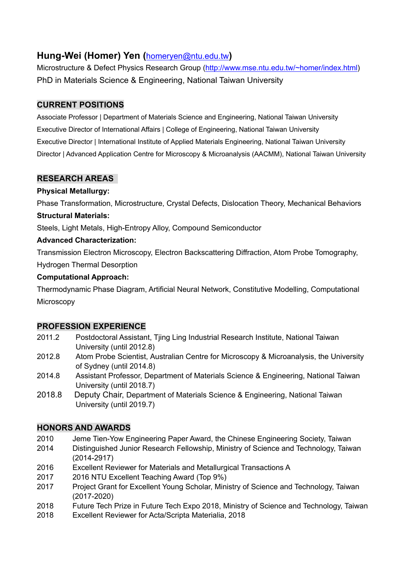# **Hung-Wei (Homer) Yen (**homeryen@ntu.edu.tw**)**

Microstructure & Defect Physics Research Group (http://www.mse.ntu.edu.tw/~homer/index.html) PhD in Materials Science & Engineering, National Taiwan University

### **CURRENT POSITIONS**

Associate Professor | Department of Materials Science and Engineering, National Taiwan University Executive Director of International Affairs | College of Engineering, National Taiwan University Executive Director | International Institute of Applied Materials Engineering, National Taiwan University Director | Advanced Application Centre for Microscopy & Microanalysis (AACMM), National Taiwan University

## **RESEARCH AREAS**

### **Physical Metallurgy:**

Phase Transformation, Microstructure, Crystal Defects, Dislocation Theory, Mechanical Behaviors

#### **Structural Materials:**

Steels, Light Metals, High-Entropy Alloy, Compound Semiconductor

#### **Advanced Characterization:**

Transmission Electron Microscopy, Electron Backscattering Diffraction, Atom Probe Tomography,

Hydrogen Thermal Desorption

#### **Computational Approach:**

Thermodynamic Phase Diagram, Artificial Neural Network, Constitutive Modelling, Computational **Microscopy** 

### **PROFESSION EXPERIENCE**

- 2011.2 Postdoctoral Assistant, Tjing Ling Industrial Research Institute, National Taiwan University (until 2012.8)
- 2012.8 Atom Probe Scientist, Australian Centre for Microscopy & Microanalysis, the University of Sydney (until 2014.8)
- 2014.8 Assistant Professor, Department of Materials Science & Engineering, National Taiwan University (until 2018.7)
- 2018.8 Deputy Chair, Department of Materials Science & Engineering, National Taiwan University (until 2019.7)

### **HONORS AND AWARDS**

- 2010 Jeme Tien-Yow Engineering Paper Award, the Chinese Engineering Society, Taiwan
- 2014 Distinguished Junior Research Fellowship, Ministry of Science and Technology, Taiwan (2014-2917)
- 2016 Excellent Reviewer for Materials and Metallurgical Transactions A
- 2017 2016 NTU Excellent Teaching Award (Top 9%)
- 2017 Project Grant for Excellent Young Scholar, Ministry of Science and Technology, Taiwan (2017-2020)
- 2018 Future Tech Prize in Future Tech Expo 2018, Ministry of Science and Technology, Taiwan
- 2018 Excellent Reviewer for Acta/Scripta Materialia, 2018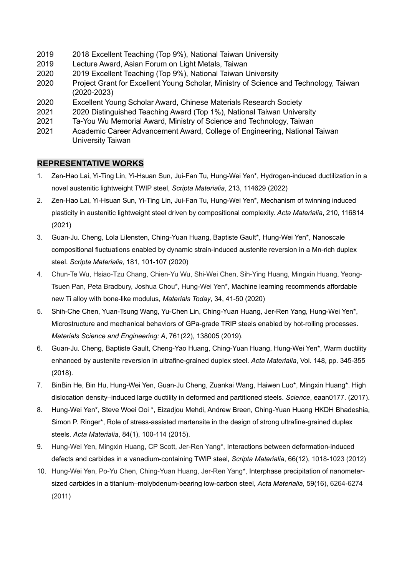- 2019 2018 Excellent Teaching (Top 9%), National Taiwan University
- 2019 Lecture Award, Asian Forum on Light Metals, Taiwan
- 2020 2019 Excellent Teaching (Top 9%), National Taiwan University
- 2020 Project Grant for Excellent Young Scholar, Ministry of Science and Technology, Taiwan (2020-2023)
- 2020 Excellent Young Scholar Award, Chinese Materials Research Society
- 2021 2020 Distinguished Teaching Award (Top 1%), National Taiwan University
- 2021 Ta-You Wu Memorial Award, Ministry of Science and Technology, Taiwan
- 2021 Academic Career Advancement Award, College of Engineering, National Taiwan University Taiwan

#### **REPRESENTATIVE WORKS**

- 1. Zen-Hao Lai, Yi-Ting Lin, Yi-Hsuan Sun, Jui-Fan Tu, Hung-Wei Yen\*, Hydrogen-induced ductilization in a novel austenitic lightweight TWIP steel, *Scripta Materialia*, 213, 114629 (2022)
- 2. Zen-Hao Lai, Yi-Hsuan Sun, Yi-Ting Lin, Jui-Fan Tu, Hung-Wei Yen\*, Mechanism of twinning induced plasticity in austenitic lightweight steel driven by compositional complexity. *Acta Materialia*, 210, 116814 (2021)
- 3. Guan-Ju. Cheng, Lola Lilensten, Ching-Yuan Huang, Baptiste Gault\*, Hung-Wei Yen\*, Nanoscale compositional fluctuations enabled by dynamic strain-induced austenite reversion in a Mn-rich duplex steel. *Scripta Materialia*, 181, 101-107 (2020)
- 4. Chun-Te Wu, Hsiao-Tzu Chang, Chien-Yu Wu, Shi-Wei Chen, Sih-Ying Huang, Mingxin Huang, Yeong-Tsuen Pan, Peta Bradbury, Joshua Chou\*, Hung-Wei Yen\*, Machine learning recommends affordable new Ti alloy with bone-like modulus, *Materials Today*, 34, 41-50 (2020)
- 5. Shih-Che Chen, Yuan-Tsung Wang, Yu-Chen Lin, Ching-Yuan Huang, Jer-Ren Yang, Hung-Wei Yen\*, Microstructure and mechanical behaviors of GPa-grade TRIP steels enabled by hot-rolling processes. *Materials Science and Engineering: A*, 761(22), 138005 (2019).
- 6. Guan-Ju. Cheng, Baptiste Gault, Cheng-Yao Huang, Ching-Yuan Huang, Hung-Wei Yen\*, Warm ductility enhanced by austenite reversion in ultrafine-grained duplex steel. *Acta Materialia*, Vol. 148, pp. 345-355 (2018).
- 7. BinBin He, Bin Hu, Hung-Wei Yen, Guan-Ju Cheng, Zuankai Wang, Haiwen Luo\*, Mingxin Huang\*. High dislocation density–induced large ductility in deformed and partitioned steels. *Science*, eaan0177. (2017).
- 8. Hung-Wei Yen\*, Steve Woei Ooi \*, Eizadjou Mehdi, Andrew Breen, Ching-Yuan Huang HKDH Bhadeshia, Simon P. Ringer\*, Role of stress-assisted martensite in the design of strong ultrafine-grained duplex steels. *Acta Materialia*, 84(1), 100-114 (2015).
- 9. Hung-Wei Yen, Mingxin Huang, CP Scott, Jer-Ren Yang\*, Interactions between deformation-induced defects and carbides in a vanadium-containing TWIP steel, *Scripta Materialia*, 66(12), 1018-1023 (2012)
- 10. Hung-Wei Yen, Po-Yu Chen, Ching-Yuan Huang, Jer-Ren Yang\*, Interphase precipitation of nanometersized carbides in a titanium–molybdenum-bearing low-carbon steel, *Acta Materialia*, 59(16), 6264-6274 (2011)